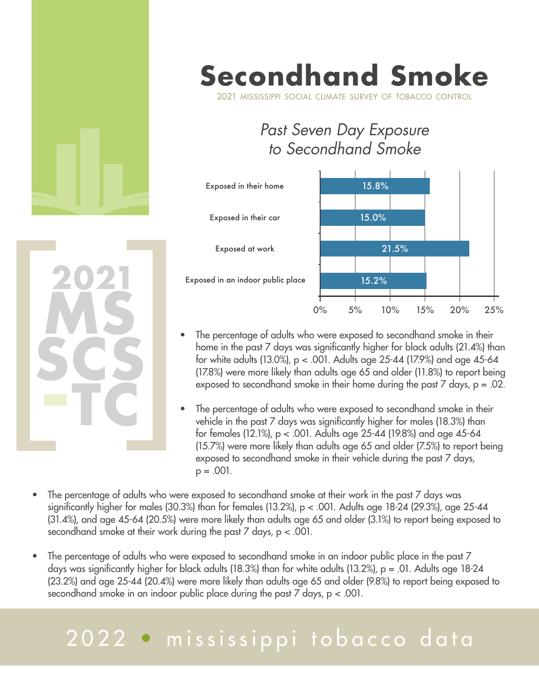

# **Secondhand Smoke**

2021 mississippi social climate survey of tobacco control

### *Past Seven Day Exposure to Secondhand Smoke*



- **ms scs -tc 2021**<br> **2021**<br> **2025**<br> **2025**<br> **2025**<br> **1025** 
	- The percentage of adults who were exposed to secondhand smoke in their home in the past 7 days was significantly higher for black adults (21.4%) than for white adults (13.0%), p < .001. Adults age 25-44 (17.9%) and age 45-64 (17.8%) were more likely than adults age 65 and older (11.8%) to report being exposed to secondhand smoke in their home during the past 7 days, p = .02.
	- The percentage of adults who were exposed to secondhand smoke in their vehicle in the past 7 days was significantly higher for males (18.3%) than for females (12.1%), p < .001. Adults age 25-44 (19.8%) and age 45-64 (15.7%) were more likely than adults age 65 and older (7.5%) to report being exposed to secondhand smoke in their vehicle during the past 7 days,  $p = .001$ .
	- The percentage of adults who were exposed to secondhand smoke at their work in the past 7 days was significantly higher for males (30.3%) than for females (13.2%), p < .001. Adults age 18-24 (29.3%), age 25-44 (31.4%), and age 45-64 (20.5%) were more likely than adults age 65 and older (3.1%) to report being exposed to secondhand smoke at their work during the past 7 days, p < .001.
	- The percentage of adults who were exposed to secondhand smoke in an indoor public place in the past 7 days was significantly higher for black adults (18.3%) than for white adults (13.2%), p = .01. Adults age 18-24 (23.2%) and age 25-44 (20.4%) were more likely than adults age 65 and older (9.8%) to report being exposed to secondhand smoke in an indoor public place during the past 7 days, p < .001.

## 2022 • mississippi tobacco data